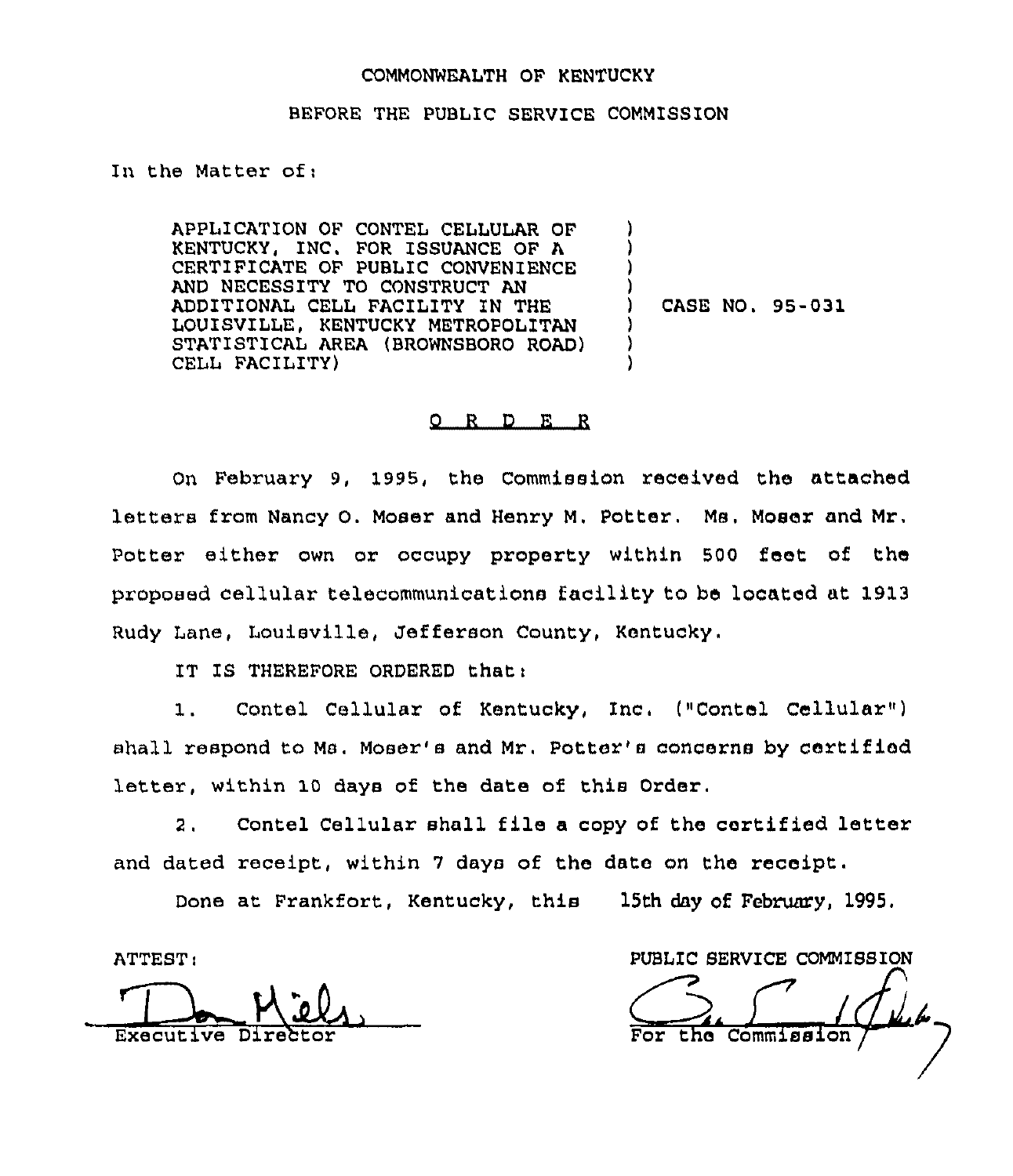#### COMMONWEALTH OF KENTUCKY

### BEFORE THE PUBLIC SERVICE COMMISSION

In the Matter of;

APPLICATION OF CONTEL CELLULAR OF KENTUCKY, INC. FOR ISSUANCE OF A CERTIFICATE OF PUBLIC CONVENIENCE AND NECESSITY TO CONSTRUCT AN ADDITIONAL CELL FACILITY IN THE LOUISVILLE, KENTUCKY METROPOLITAN STATISTICAL AREA (BROWNSBORO ROAD) CELL FACILITY)

) CASE NO. 95-031

) ) ) )

) ) )

#### 0 R <sup>D</sup> E R

On February 9, 1995, the Commission received the attached letters from Nancy O. Moser and Henry M, Potter, Ms, Moser and Mr. Potter either own or occupy property within 500 feet of ths proposed csllulax telecommunications facility to be located at 1913 Rudy Lans, Louisville, Jefferson County, Kentucky.

IT IS THEREFORE ORDERED that :

1. Contel Cellular of Kentucky, Inc. ("Contel Cellular") ahall respond to Ms. Moser's and Mr. Potter's concerns by certified letter, within 10 days of the date of this Order.

2. Contel Cellular shall file a copy of the certified letter and dated receipt, within 7 days of the date on the receipt.

Done at Frankfort, Kentucky, this 15th day of February, 1995,

ATTEST:

Executive Dir

PUBL1C SERVICE COMMISSION  $10$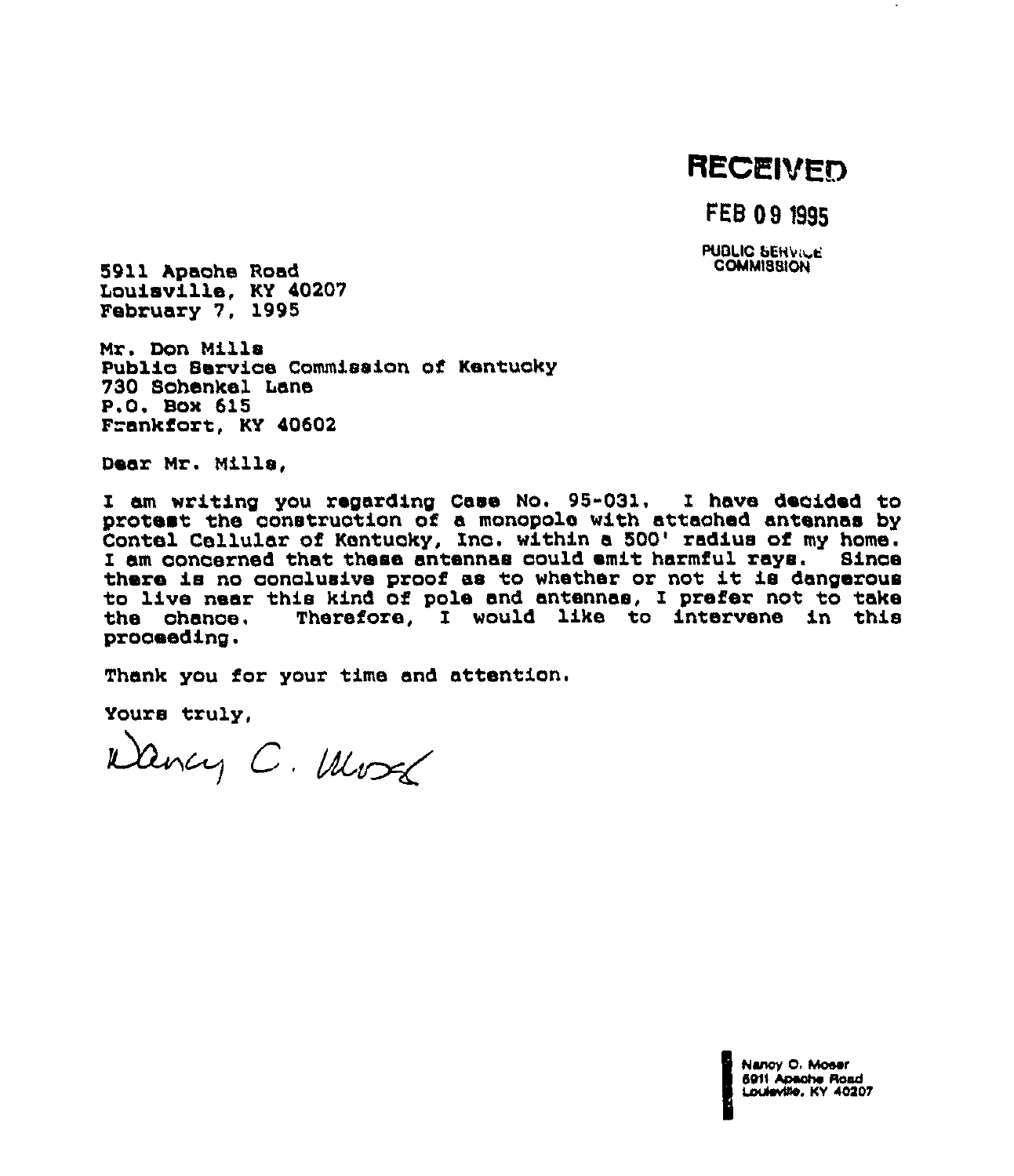# RECEIVED

FEB 09 1985

**PUBLIC SERVICE COMMISSION** 

5911 Apache Road Louisville, KY 40207 February 7, 1995

Nr. Don Mills Publio Sexvioe Commission of Kentuoky 730 Sohenkel Lans P.O. Box 615 Frankfort, KY 40602

Dear Nr. Mills,

I am wxiting you regarding Case No. 95-031, I have deoided to protest the oonstruotion of a monopole with attaohed antennas by Contel Cellular of Kentucky, Inc. within a 500' radius of my home.<br>I am concerned that these antennas could emit harmful rays. Since there is no conclusive proof as to whether or not it is dangerous to live near this kind of pole and antennas, I prefer not to take Therefore, I would like to intervene in this prooeeding.

Thank you for your time and attention.

Yours truly,

 $W$ ancy  $C$ . World

Nenoy 0, Moaer 6911 y O. Mo<br>Apache<br>wile, KY 6911 Apache Road<br>Louieville, KY 40207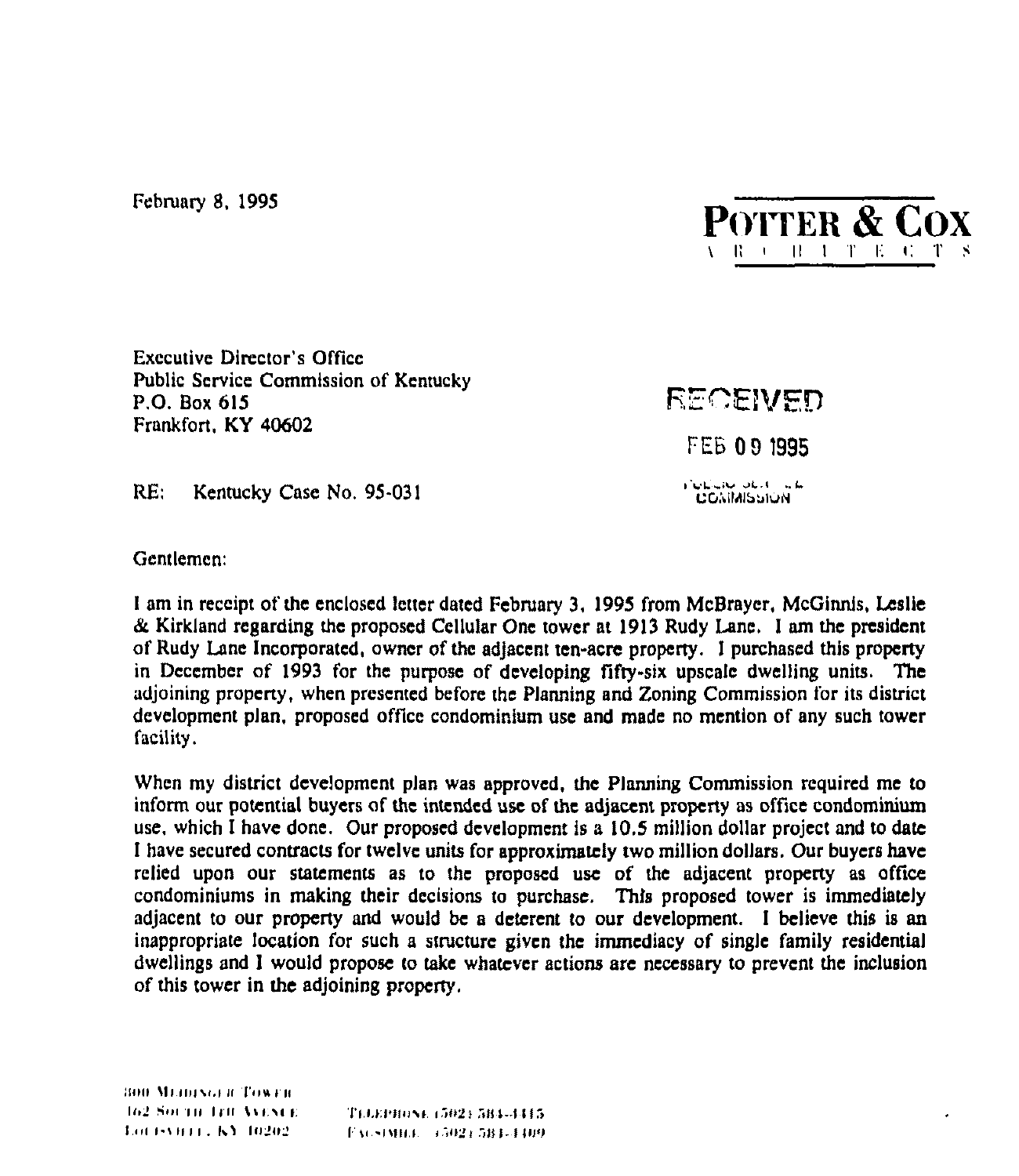February 8, 1995



**Executive Director's Office** Public Service Commission of Kentucky P.O. Box 615 Frankfort, KY 40602

RECEIVED **FEB 09 1995 Collabo** Obst. ade **COMMISSION** 

 $RE:$ Kentucky Case No. 95-031

Gentlemen:

I am in receipt of the enclosed letter dated February 3, 1995 from McBrayer, McGinnis, Leslie & Kirkland regarding the proposed Cellular One tower at 1913 Rudy Lane. I am the president of Rudy Lane Incorporated, owner of the adjacent ten-acre property. I purchased this property in December of 1993 for the purpose of developing fifty-six upscale dwelling units. The adjoining property, when presented before the Planning and Zoning Commission for its district development plan, proposed office condominium use and made no mention of any such tower facility.

When my district development plan was approved, the Planning Commission required me to inform our potential buyers of the intended use of the adjacent property as office condominium use, which I have done. Our proposed development is a 10.5 million dollar project and to date I have secured contracts for twelve units for approximately two million dollars. Our buyers have relied upon our statements as to the proposed use of the adjacent property as office condominiums in making their decisions to purchase. This proposed tower is immediately adjacent to our property and would be a deterent to our development. I believe this is an inappropriate location for such a structure given the immediacy of single family residential dwellings and I would propose to take whatever actions are necessary to prevent the inclusion of this tower in the adjoining property.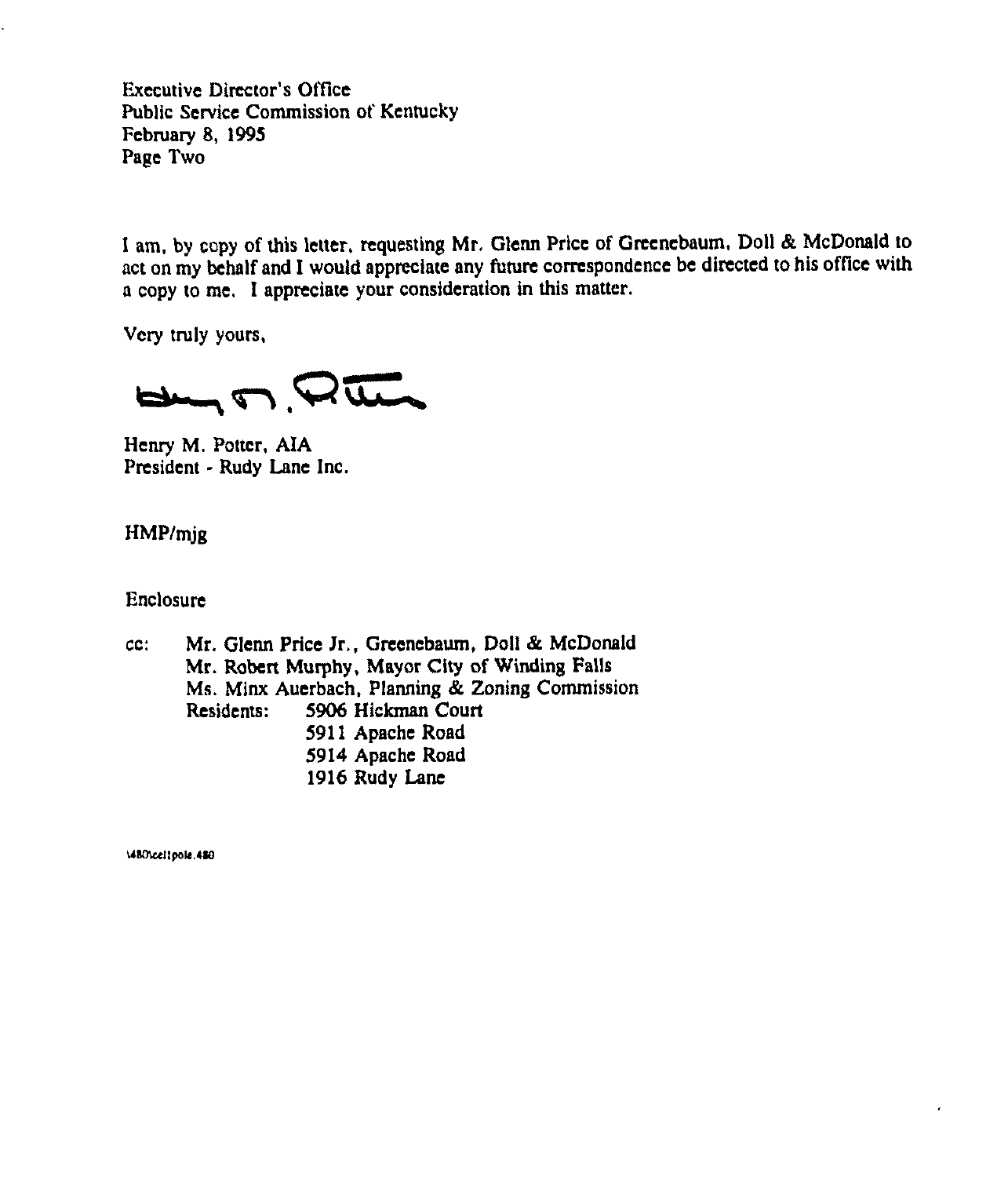Executive Director's Office Public Service Commission of Kentucky February S, 1995 Page Two

I am, by copy of this letter, requesting Mr. Glenn Price of Greenebaum, Doll & McDonald to act on my behalf and I would appreciate any future correspondence be directed to his office with a copy to me, I appreciate your consideration in this matter.

Very truly yours,

 $H_{\text{max}} \cap \mathcal{Q}$ 

Henry M. Potter, AIA President - Rudy Lane Inc.

HMP/mjg

Enclosure

cc: Mr. Glenn Price Jr., Greenebaum, Doll & McDonald Mr. Robert Murphy, Mayor City of Winding Falls Ms. Minx Auerbach, Planning & Zoning Commission 5906 Hickman Court 5911 Apache Road 5914 Apache Road 1916 Rudy Lane

\480\cel1pols.480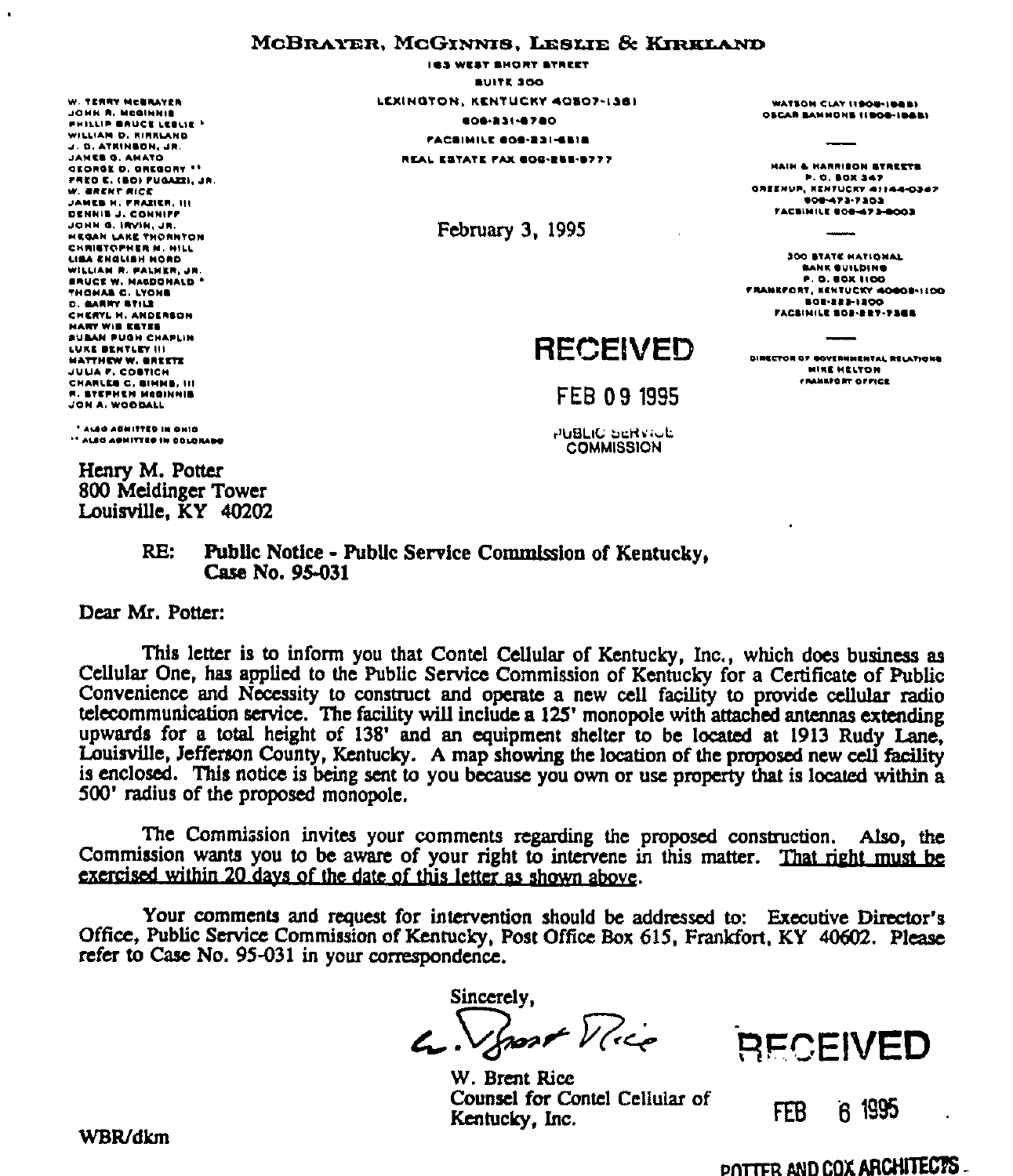# MCBRAYER, MCGINNIS, LESLIE & KIRKLAND

W. TERRY MCBRAYER JOHN R. MCGINNIE *BHILLIB BAUCK LEBLIE 1* WILLIAM D. KIRKLAND J. D. ATKINBON, JR. JANES G. AMATO **GEORGE D. GREGORY \*\*** FRED E. (BO) FUGAZZI, JR. W. ERENT RICE JAMES H. FRAZIER, III DENNIS J. CONNIFF JOHN G. IRVIN. JR. **HEGAN LAKE THORNTON** CHRISTOPHER M. HILL LIBA ENGLISH NOND WILLIAM R. PALMER, JR *BRUCE W. MAGDONALD* **THOMAS C. LYONS** D. BARNY BTILE CHERYL H. ANDERSON **HARY WIE ESTES SUBAN PUGH CHAPLIN** LUKE BENTLEY III **MATTHEW W. OREETE** JULIA F. COSTICH CHARLES C. SIMMS, III **R. STEPHEN MODINAIS** JON A. WOODALL

 $\cdot$ 

**IGS WEST SHORT STREET BUITE 300** LEXINGTON, KENTUCKY 40807-1361 **EDB-331-8780 FACSIMILE GOG-231-6518** REAL ESTATE FAX GOG-RUS-9777

February 3, 1995

# **RECEIVED**

**DIRECTOR OF GOVERNMENTAL RELATIONS MIKE HELTON** FRANKFORT OFFICE

FEB 09 1995

PUBLIC SERVICE **COMMISSION** 

\* ALEO AGNITTED IN ONIO <sup>14</sup> ALEG AGNIVIES IN COLORADO

Henry M. Potter 800 Meldinger Tower Louisville, KY 40202

#### Public Notice - Public Service Commission of Kentucky, RE: Case No. 95-031

Dear Mr. Potter:

This letter is to inform you that Contel Cellular of Kentucky, Inc., which does business as Cellular One, has applied to the Public Service Commission of Kentucky for a Certificate of Public Convenience and Necessity to construct and operate a new cell facility to provide cellular radio telecommunication service. The facility will include a 125' monopole with attached antennas extending upwards for a total height of 138' and an equipment shelter to be located at 1913 Rudy Lane, Louisville, Jefferson County, Kentucky. A map showing the location of the proposed new cell facility is enclosed. This notice is being sent to you because you own or use property that is located within a 500' radius of the proposed monopole.

The Commission invites your comments regarding the proposed construction. Also, the Commission wants you to be aware of your right to intervene in this matter. That right must be exercised within 20 days of the date of this letter as shown above.

Your comments and request for intervention should be addressed to: Executive Director's Office, Public Service Commission of Kentucky, Post Office Box 615, Frankfort, KY 40602. Please refer to Case No. 95-031 in your correspondence.

Sincerely.  $\mathcal{L}.\n\sqrt{g}$ 

W. Brent Rice Counsel for Contel Cellular of Kentucky, Inc.



 $61995$ **FEB** 

### WBR/dkm

## POTTER AND COX ARCHITECTS.

WATEON CLAY 11908-1888) **OSCAR SANNONS (IBOS-IBAB)** 

HAIN & HARRIBON STREETS **F.O. BOX 347** OREENUP, RENTUCKY 41144-0347 000-473-7303 FACISINILE BOB-473-8003

**300 BTATE HATIONAL** 

**BANK BUILDING** 

**P.O. BOX 1100** 

FRANKFORT, KENTUCKY 40608-1100

**BOR-222-1200** 

**FACSINILE BOS-RET-7368**